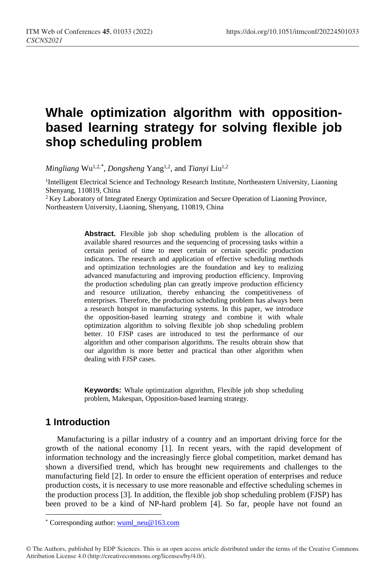# **Whale optimization algorithm with oppositionbased learning strategy for solving flexible job shop scheduling problem**

*Mingliang* Wu1,2,[\\*](#page-0-0) , *Dongsheng* Yang1,2, and *Tianyi* Liu1,2

<sup>1</sup>Intelligent Electrical Science and Technology Research Institute, Northeastern University, Liaoning Shenyang, 110819, China

<sup>2</sup> Key Laboratory of Integrated Energy Optimization and Secure Operation of Liaoning Province, Northeastern University, Liaoning, Shenyang, 110819, China

> **Abstract.** Flexible job shop scheduling problem is the allocation of available shared resources and the sequencing of processing tasks within a certain period of time to meet certain or certain specific production indicators. The research and application of effective scheduling methods and optimization technologies are the foundation and key to realizing advanced manufacturing and improving production efficiency. Improving the production scheduling plan can greatly improve production efficiency and resource utilization, thereby enhancing the competitiveness of enterprises. Therefore, the production scheduling problem has always been a research hotspot in manufacturing systems. In this paper, we introduce the opposition-based learning strategy and combine it with whale optimization algorithm to solving flexible job shop scheduling problem better. 10 FJSP cases are introduced to test the performance of our algorithm and other comparison algorithms. The results obtrain show that our algorithm is more better and practical than other algorithm when dealing with FJSP cases.

> **Keywords:** Whale optimization algorithm, Flexible job shop scheduling problem, Makespan, Opposition-based learning strategy.

### **1 Introduction**

 $\overline{a}$ 

Manufacturing is a pillar industry of a country and an important driving force for the growth of the national economy [1]. In recent years, with the rapid development of information technology and the increasingly fierce global competition, market demand has shown a diversified trend, which has brought new requirements and challenges to the manufacturing field [2]. In order to ensure the efficient operation of enterprises and reduce production costs, it is necessary to use more reasonable and effective scheduling schemes in the production process [3]. In addition, the flexible job shop scheduling problem (FJSP) has been proved to be a kind of NP-hard problem [4]. So far, people have not found an

<span id="page-0-0"></span><sup>\*</sup> Corresponding author: wuml\_neu@163.com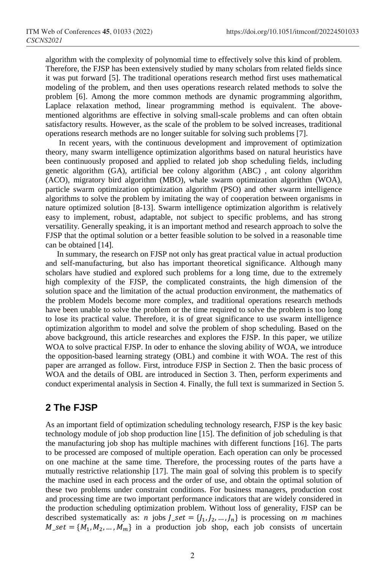algorithm with the complexity of polynomial time to effectively solve this kind of problem. Therefore, the FJSP has been extensively studied by many scholars from related fields since it was put forward [5]. The traditional operations research method first uses mathematical modeling of the problem, and then uses operations research related methods to solve the problem [6]. Among the more common methods are dynamic programming algorithm, Laplace relaxation method, linear programming method is equivalent. The abovementioned algorithms are effective in solving small-scale problems and can often obtain satisfactory results. However, as the scale of the problem to be solved increases, traditional operations research methods are no longer suitable for solving such problems [7].

In recent years, with the continuous development and improvement of optimization theory, many swarm intelligence optimization algorithms based on natural heuristics have been continuously proposed and applied to related job shop scheduling fields, including genetic algorithm (GA), artificial bee colony algorithm (ABC) , ant colony algorithm (ACO), migratory bird algorithm (MBO), whale swarm optimization algorithm (WOA), particle swarm optimization optimization algorithm (PSO) and other swarm intelligence algorithms to solve the problem by imitating the way of cooperation between organisms in nature optimized solution [8-13]. Swarm intelligence optimization algorithm is relatively easy to implement, robust, adaptable, not subject to specific problems, and has strong versatility. Generally speaking, it is an important method and research approach to solve the FJSP that the optimal solution or a better feasible solution to be solved in a reasonable time can be obtained [14].

In summary, the research on FJSP not only has great practical value in actual production and self-manufacturing, but also has important theoretical significance. Although many scholars have studied and explored such problems for a long time, due to the extremely high complexity of the FJSP, the complicated constraints, the high dimension of the solution space and the limitation of the actual production environment, the mathematics of the problem Models become more complex, and traditional operations research methods have been unable to solve the problem or the time required to solve the problem is too long to lose its practical value. Therefore, it is of great significance to use swarm intelligence optimization algorithm to model and solve the problem of shop scheduling. Based on the above background, this article researches and explores the FJSP. In this paper, we utilize WOA to solve practical FJSP. In oder to enhance the sloving ability of WOA, we introduce the opposition-based learning strategy (OBL) and combine it with WOA. The rest of this paper are arranged as follow. First, introduce FJSP in Section 2. Then the basic process of WOA and the details of OBL are introduced in Section 3. Then, perform experiments and conduct experimental analysis in Section 4. Finally, the full text is summarized in Section 5.

### **2 The FJSP**

As an important field of optimization scheduling technology research, FJSP is the key basic technology module of job shop production line [15]. The definition of job scheduling is that the manufacturing job shop has multiple machines with different functions [16]. The parts to be processed are composed of multiple operation. Each operation can only be processed on one machine at the same time. Therefore, the processing routes of the parts have a mutually restrictive relationship [17]. The main goal of solving this problem is to specify the machine used in each process and the order of use, and obtain the optimal solution of these two problems under constraint conditions. For business managers, production cost and processing time are two important performance indicators that are widely considered in the production scheduling optimization problem. Without loss of generality, FJSP can be described systematically as: *n* jobs  $J_s$  set = { $J_1, J_2, ..., J_n$ } is processing on *m* machines  $M<sub>-</sub> set = {M<sub>1</sub>, M<sub>2</sub>, ..., M<sub>m</sub>}$  in a production job shop, each job consists of uncertain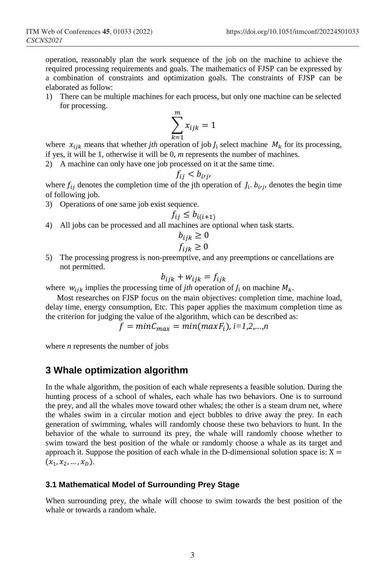operation, reasonably plan the work sequence of the job on the machine to achieve the required processing requirements and goals. The mathematics of FJSP can be expressed by a combination of constraints and optimization goals. The constraints of FJSP can be elaborated as follow:

1) There can be multiple machines for each process, but only one machine can be selected for processing.

$$
\sum_{k=1}^{m} x_{ijk} = 1
$$

where  $x_{ijk}$  means that whether *jth* operation of job  $J_i$  select machine  $M_k$  for its processing, if yes, it will be 1, otherwise it will be 0, *m* represents the number of machines.

2) A machine can only have one job processed on it at the same time.

$$
f_{ij} < b_{ij}
$$

where  $f_{ij}$  denotes the completion time of the jth operation of  $J_i$ .  $b_{i'j'}$ , denotes the begin time of following job.

3) Operations of one same job exist sequence.

$$
f_{ij} \le b_{i(i+1)}
$$

4) All jobs can be processed and all machines are optional when task starts.

$$
b_{ijk} \ge 0
$$
  

$$
f_{ijk} \ge 0
$$

5) The processing progress is non-preemptive, and any preemptions or cancellations are not permitted.

$$
b_{ijk} + w_{ijk} = f_{ijk}
$$

where  $w_{ijk}$  implies the processing time of *jth* operation of  $J_i$  on machine  $M_k$ .

Most researches on FJSP focus on the main objectives: completion time, machine load, delay time, energy consumption, Etc. This paper applies the maximum completion time as the criterion for judging the value of the algorithm, which can be described as:

$$
f = minC_{max} = min(maxF_i), i=1,2,...,n
$$

where *n* represents the number of jobs

### **3 Whale optimization algorithm**

In the whale algorithm, the position of each whale represents a feasible solution. During the hunting process of a school of whales, each whale has two behaviors. One is to surround the prey, and all the whales move toward other whales; the other is a steam drum net, where the whales swim in a circular motion and eject bubbles to drive away the prey. In each generation of swimming, whales will randomly choose these two behaviors to hunt. In the behavior of the whale to surround its prey, the whale will randomly choose whether to swim toward the best position of the whale or randomly choose a whale as its target and approach it. Suppose the position of each whale in the D-dimensional solution space is:  $X =$  $(x_1, x_2, ..., x_n).$ 

#### **3.1 Mathematical Model of Surrounding Prey Stage**

When surrounding prey, the whale will choose to swim towards the best position of the whale or towards a random whale.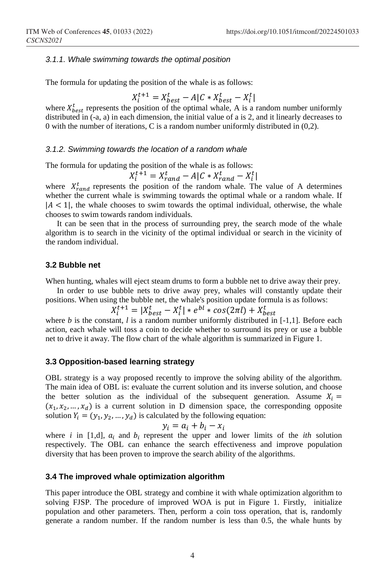#### *3.1.1. Whale swimming towards the optimal position*

The formula for updating the position of the whale is as follows:

$$
X_i^{t+1} = X_{best}^t - A|C \ast X_{best}^t - X_i^t|
$$

where  $X_{best}^t$  represents the position of the optimal whale, A is a random number uniformly distributed in (-a, a) in each dimension, the initial value of a is 2, and it linearly decreases to 0 with the number of iterations, C is a random number uniformly distributed in (0,2).

#### *3.1.2. Swimming towards the location of a random whale*

The formula for updating the position of the whale is as follows:

$$
X_i^{t+1} = X_{rand}^t - A|C * X_{rand}^t - X_i^t|
$$

where  $X_{rand}^t$  represents the position of the random whale. The value of A determines whether the current whale is swimming towards the optimal whale or a random whale. If  $|A| < 1$ , the whale chooses to swim towards the optimal individual, otherwise, the whale chooses to swim towards random individuals.

It can be seen that in the process of surrounding prey, the search mode of the whale algorithm is to search in the vicinity of the optimal individual or search in the vicinity of the random individual.

#### **3.2 Bubble net**

When hunting, whales will eject steam drums to form a bubble net to drive away their prey.

In order to use bubble nets to drive away prey, whales will constantly update their positions. When using the bubble net, the whale's position update formula is as follows:

$$
X_i^{t+1} = |X_{best}^t - X_i^t| * e^{bl} * cos(2\pi l) + X_{best}^t
$$

where  $b$  is the constant,  $l$  is a random number uniformly distributed in  $[-1,1]$ . Before each action, each whale will toss a coin to decide whether to surround its prey or use a bubble net to drive it away. The flow chart of the whale algorithm is summarized in Figure 1.

#### **3.3 Opposition-based learning strategy**

OBL strategy is a way proposed recently to improve the solving ability of the algorithm. The main idea of OBL is: evaluate the current solution and its inverse solution, and choose the better solution as the individual of the subsequent generation. Assume  $X_i =$  $(x_1, x_2, ..., x_d)$  is a current solution in D dimension space, the corresponding opposite solution  $Y_i = (y_1, y_2, ..., y_d)$  is calculated by the following equation:

$$
y_i = a_i + b_i - x_i
$$

where *i* in [1,d],  $a_i$  and  $b_i$  represent the upper and lower limits of the *ith* solution respectively. The OBL can enhance the search effectiveness and improve population diversity that has been proven to improve the search ability of the algorithms.

#### **3.4 The improved whale optimization algorithm**

This paper introduce the OBL strategy and combine it with whale optimization algorithm to solving FJSP. The procedure of improved WOA is put in Figure 1. Firstly, initialize population and other parameters. Then, perform a coin toss operation, that is, randomly generate a random number. If the random number is less than 0.5, the whale hunts by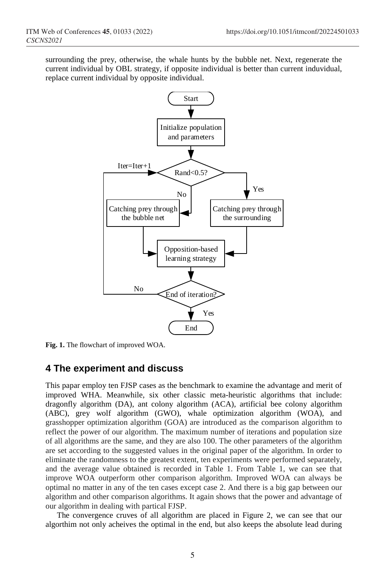surrounding the prey, otherwise, the whale hunts by the bubble net. Next, regenerate the current individual by OBL strategy, if opposite individual is better than current induvidual, replace current individual by opposite individual.



**Fig. 1.** The flowchart of improved WOA.

### **4 The experiment and discuss**

This papar employ ten FJSP cases as the benchmark to examine the advantage and merit of improved WHA. Meanwhile, six other classic meta-heuristic algorithms that include: dragonfly algorithm (DA), ant colony algorithm (ACA), artificial bee colony algorithm (ABC), grey wolf algorithm (GWO), whale optimization algorithm (WOA), and grasshopper optimization algorithm (GOA) are introduced as the comparison algorithm to reflect the power of our algorithm. The maximum number of iterations and population size of all algorithms are the same, and they are also 100. The other parameters of the algorithm are set according to the suggested values in the original paper of the algorithm. In order to eliminate the randomness to the greatest extent, ten experiments were performed separately, and the average value obtained is recorded in Table 1. From Table 1, we can see that improve WOA outperform other comparison algorithm. Improved WOA can always be optimal no matter in any of the ten cases except case 2. And there is a big gap between our algorithm and other comparison algorithms. It again shows that the power and advantage of our algorithm in dealing with partical FJSP.

The convergence cruves of all algorithm are placed in Figure 2, we can see that our algorthim not only acheives the optimal in the end, but also keeps the absolute lead during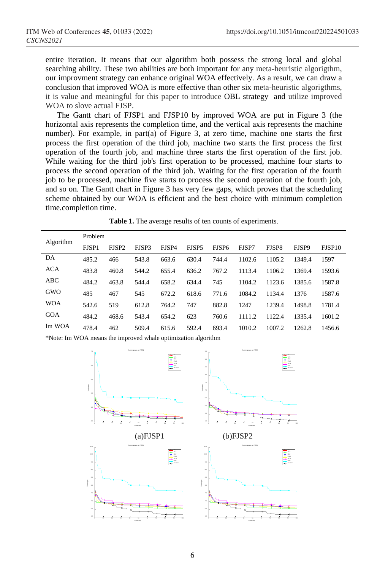entire iteration. It means that our algorithm both possess the strong local and global searching ability. These two abilities are both important for any meta-heuristic algorigthm, our improvment strategy can enhance original WOA effectively. As a result, we can draw a conclusion that improved WOA is more effective than other six meta-heuristic algorigthms, it is value and meaningful for this paper to introduce OBL strategy and utilize improved WOA to slove actual FJSP.

The Gantt chart of FJSP1 and FJSP10 by improved WOA are put in Figure 3 (the horizontal axis represents the completion time, and the vertical axis represents the machine number). For example, in part(a) of Figure 3, at zero time, machine one starts the first process the first operation of the third job, machine two starts the first process the first operation of the fourth job, and machine three starts the first operation of the first job. While waiting for the third job's first operation to be processed, machine four starts to process the second operation of the third job. Waiting for the first operation of the fourth job to be processed, machine five starts to process the second operation of the fourth job, and so on. The Gantt chart in Figure 3 has very few gaps, which proves that the scheduling scheme obtained by our WOA is efficient and the best choice with minimum completion time.completion time.

|            | Problem      |                   |       |       |       |                   |        |        |        |        |  |
|------------|--------------|-------------------|-------|-------|-------|-------------------|--------|--------|--------|--------|--|
| Algorithm  | <b>FISP1</b> | FJSP <sub>2</sub> | FJSP3 | FJSP4 | FJSP5 | FISP <sub>6</sub> | FJSP7  | FJSP8  | FJSP9  | FJSP10 |  |
| DA         | 485.2        | 466               | 543.8 | 663.6 | 630.4 | 744.4             | 1102.6 | 1105.2 | 1349.4 | 1597   |  |
| <b>ACA</b> | 483.8        | 460.8             | 544.2 | 655.4 | 636.2 | 767.2             | 1113.4 | 1106.2 | 1369.4 | 1593.6 |  |
| ABC        | 484.2        | 463.8             | 544.4 | 658.2 | 634.4 | 745               | 1104.2 | 1123.6 | 1385.6 | 1587.8 |  |
| <b>GWO</b> | 485          | 467               | 545   | 672.2 | 618.6 | 771.6             | 1084.2 | 1134.4 | 1376   | 1587.6 |  |
| <b>WOA</b> | 542.6        | 519               | 612.8 | 764.2 | 747   | 882.8             | 1247   | 1239.4 | 1498.8 | 1781.4 |  |
| GOA        | 484.2        | 468.6             | 543.4 | 654.2 | 623   | 760.6             | 1111.2 | 1122.4 | 1335.4 | 1601.2 |  |
| Im WOA     | 478.4        | 462               | 509.4 | 615.6 | 592.4 | 693.4             | 1010.2 | 1007.2 | 1262.8 | 1456.6 |  |

| Table 1. The average results of ten counts of experiments. |  |  |
|------------------------------------------------------------|--|--|
|------------------------------------------------------------|--|--|

\*Note: Im WOA means the improved whale optimization algorithm

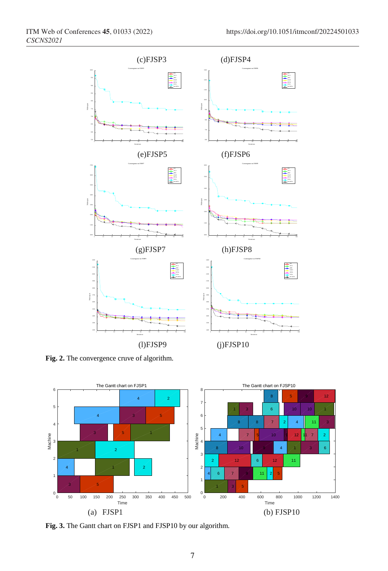

**Fig. 2.** The convergence cruve of algorithm.



**Fig. 3.** The Gantt chart on FJSP1 and FJSP10 by our algorithm.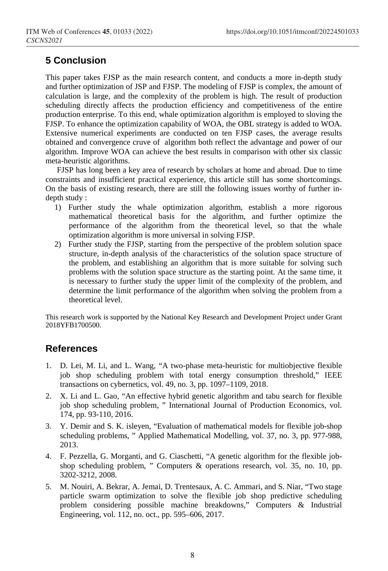## **5 Conclusion**

This paper takes FJSP as the main research content, and conducts a more in-depth study and further optimization of JSP and FJSP. The modeling of FJSP is complex, the amount of calculation is large, and the complexity of the problem is high. The result of production scheduling directly affects the production efficiency and competitiveness of the entire production enterprise. To this end, whale optimization algorithm is employed to sloving the FJSP. To enhance the optimization capability of WOA, the OBL strategy is added to WOA. Extensive numerical experiments are conducted on ten FJSP cases, the average results obtained and convergence cruve of algorithm both reflect the advantage and power of our algorithm. Improve WOA can achieve the best results in comparison with other six classic meta-heuristic algorithms.

FJSP has long been a key area of research by scholars at home and abroad. Due to time constraints and insufficient practical experience, this article still has some shortcomings. On the basis of existing research, there are still the following issues worthy of further indepth study :

- 1) Further study the whale optimization algorithm, establish a more rigorous mathematical theoretical basis for the algorithm, and further optimize the performance of the algorithm from the theoretical level, so that the whale optimization algorithm is more universal in solving FJSP.
- 2) Further study the FJSP, starting from the perspective of the problem solution space structure, in-depth analysis of the characteristics of the solution space structure of the problem, and establishing an algorithm that is more suitable for solving such problems with the solution space structure as the starting point. At the same time, it is necessary to further study the upper limit of the complexity of the problem, and determine the limit performance of the algorithm when solving the problem from a theoretical level.

This research work is supported by the National Key Research and Development Project under Grant 2018YFB1700500.

### **References**

- 1. D. Lei, M. Li, and L. Wang, "A two-phase meta-heuristic for multiobjective flexible job shop scheduling problem with total energy consumption threshold," IEEE transactions on cybernetics, vol. 49, no. 3, pp. 1097–1109, 2018.
- 2. X. Li and L. Gao, "An effective hybrid genetic algorithm and tabu search for flexible job shop scheduling problem, " International Journal of Production Economics, vol. 174, pp. 93-110, 2016.
- 3. Y. Demir and S. K. isleyen, "Evaluation of mathematical models for flexible job-shop scheduling problems, " Applied Mathematical Modelling, vol. 37, no. 3, pp. 977-988, 2013.
- 4. F. Pezzella, G. Morganti, and G. Ciaschetti, "A genetic algorithm for the flexible jobshop scheduling problem, " Computers & operations research, vol. 35, no. 10, pp. 3202-3212, 2008.
- 5. M. Nouiri, A. Bekrar, A. Jemai, D. Trentesaux, A. C. Ammari, and S. Niar, "Two stage particle swarm optimization to solve the flexible job shop predictive scheduling problem considering possible machine breakdowns," Computers & Industrial Engineering, vol. 112, no. oct., pp. 595–606, 2017.